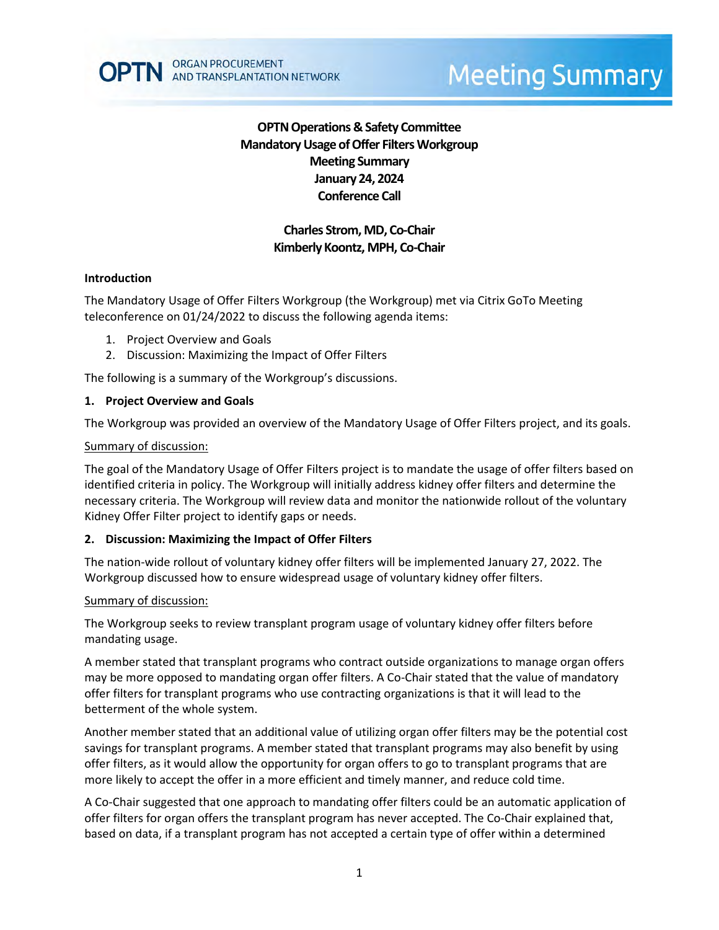

## **OPTN Operations & Safety Committee Mandatory Usage of Offer Filters Workgroup Meeting Summary January 24, 2024 Conference Call**

## **Charles Strom, MD, Co-Chair Kimberly Koontz, MPH, Co-Chair**

### **Introduction**

The Mandatory Usage of Offer Filters Workgroup (the Workgroup) met via Citrix GoTo Meeting teleconference on 01/24/2022 to discuss the following agenda items:

- 1. Project Overview and Goals
- 2. Discussion: Maximizing the Impact of Offer Filters

The following is a summary of the Workgroup's discussions.

### **1. Project Overview and Goals**

The Workgroup was provided an overview of the Mandatory Usage of Offer Filters project, and its goals.

### Summary of discussion:

The goal of the Mandatory Usage of Offer Filters project is to mandate the usage of offer filters based on identified criteria in policy. The Workgroup will initially address kidney offer filters and determine the necessary criteria. The Workgroup will review data and monitor the nationwide rollout of the voluntary Kidney Offer Filter project to identify gaps or needs.

### **2. Discussion: Maximizing the Impact of Offer Filters**

The nation-wide rollout of voluntary kidney offer filters will be implemented January 27, 2022. The Workgroup discussed how to ensure widespread usage of voluntary kidney offer filters.

### Summary of discussion:

The Workgroup seeks to review transplant program usage of voluntary kidney offer filters before mandating usage.

A member stated that transplant programs who contract outside organizations to manage organ offers may be more opposed to mandating organ offer filters. A Co-Chair stated that the value of mandatory offer filters for transplant programs who use contracting organizations is that it will lead to the betterment of the whole system.

Another member stated that an additional value of utilizing organ offer filters may be the potential cost savings for transplant programs. A member stated that transplant programs may also benefit by using offer filters, as it would allow the opportunity for organ offers to go to transplant programs that are more likely to accept the offer in a more efficient and timely manner, and reduce cold time.

A Co-Chair suggested that one approach to mandating offer filters could be an automatic application of offer filters for organ offers the transplant program has never accepted. The Co-Chair explained that, based on data, if a transplant program has not accepted a certain type of offer within a determined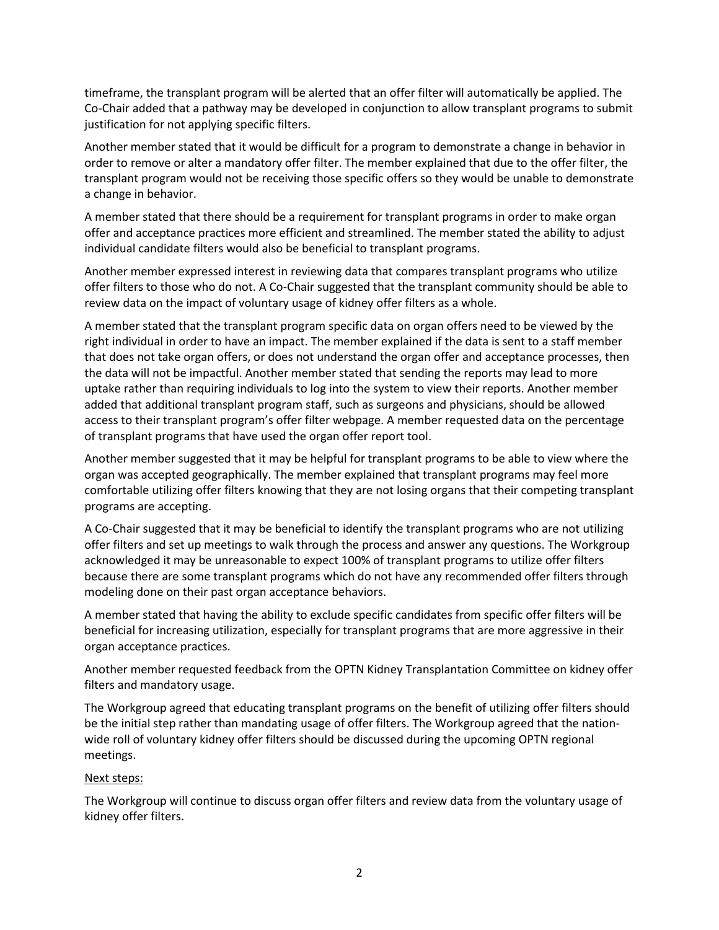timeframe, the transplant program will be alerted that an offer filter will automatically be applied. The Co-Chair added that a pathway may be developed in conjunction to allow transplant programs to submit justification for not applying specific filters.

Another member stated that it would be difficult for a program to demonstrate a change in behavior in order to remove or alter a mandatory offer filter. The member explained that due to the offer filter, the transplant program would not be receiving those specific offers so they would be unable to demonstrate a change in behavior.

A member stated that there should be a requirement for transplant programs in order to make organ offer and acceptance practices more efficient and streamlined. The member stated the ability to adjust individual candidate filters would also be beneficial to transplant programs.

Another member expressed interest in reviewing data that compares transplant programs who utilize offer filters to those who do not. A Co-Chair suggested that the transplant community should be able to review data on the impact of voluntary usage of kidney offer filters as a whole.

A member stated that the transplant program specific data on organ offers need to be viewed by the right individual in order to have an impact. The member explained if the data is sent to a staff member that does not take organ offers, or does not understand the organ offer and acceptance processes, then the data will not be impactful. Another member stated that sending the reports may lead to more uptake rather than requiring individuals to log into the system to view their reports. Another member added that additional transplant program staff, such as surgeons and physicians, should be allowed access to their transplant program's offer filter webpage. A member requested data on the percentage of transplant programs that have used the organ offer report tool.

Another member suggested that it may be helpful for transplant programs to be able to view where the organ was accepted geographically. The member explained that transplant programs may feel more comfortable utilizing offer filters knowing that they are not losing organs that their competing transplant programs are accepting.

A Co-Chair suggested that it may be beneficial to identify the transplant programs who are not utilizing offer filters and set up meetings to walk through the process and answer any questions. The Workgroup acknowledged it may be unreasonable to expect 100% of transplant programs to utilize offer filters because there are some transplant programs which do not have any recommended offer filters through modeling done on their past organ acceptance behaviors.

A member stated that having the ability to exclude specific candidates from specific offer filters will be beneficial for increasing utilization, especially for transplant programs that are more aggressive in their organ acceptance practices.

Another member requested feedback from the OPTN Kidney Transplantation Committee on kidney offer filters and mandatory usage.

The Workgroup agreed that educating transplant programs on the benefit of utilizing offer filters should be the initial step rather than mandating usage of offer filters. The Workgroup agreed that the nationwide roll of voluntary kidney offer filters should be discussed during the upcoming OPTN regional meetings.

### Next steps:

The Workgroup will continue to discuss organ offer filters and review data from the voluntary usage of kidney offer filters.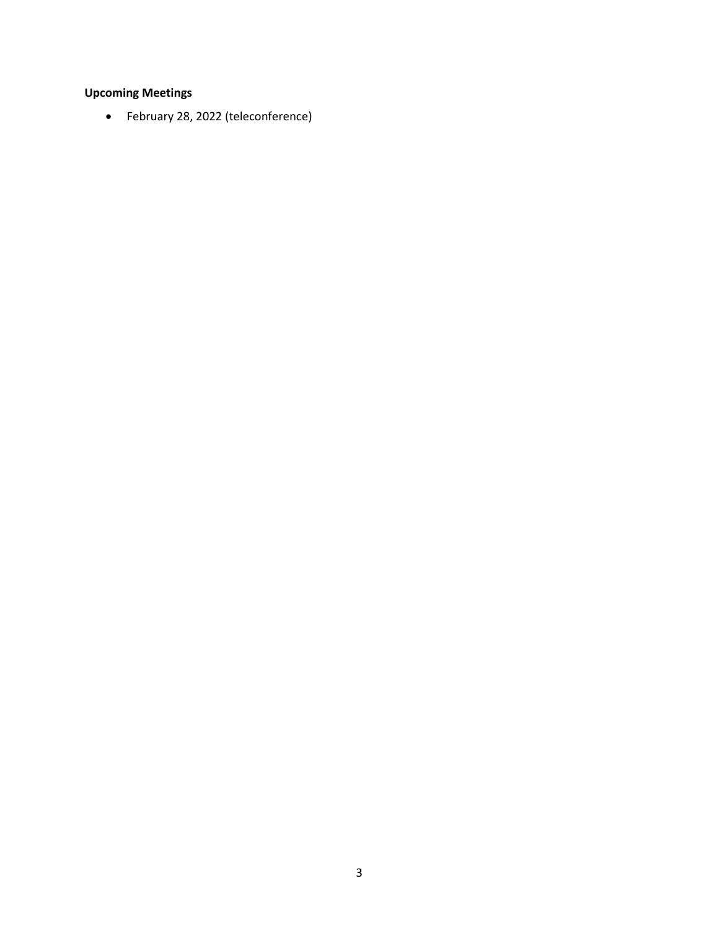# **Upcoming Meetings**

• February 28, 2022 (teleconference)